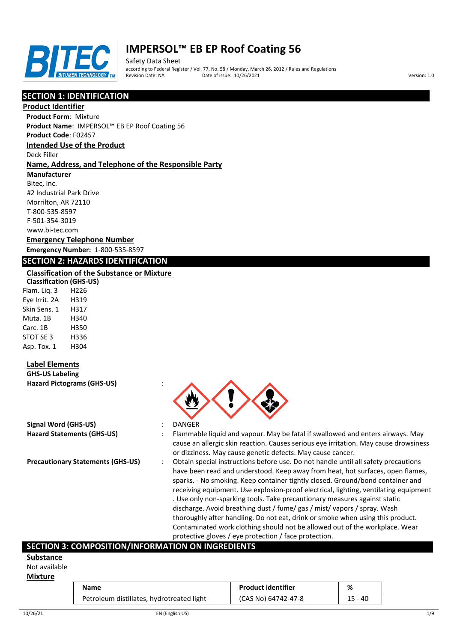

Safety Data Sheet according to Federal Register / Vol. 77, No. 58 / Monday, March 26, 2012 / Rules and Regulations Pate of issue: 10/26/2021 **Version: 1.0** 

# **SECTION 1: IDENTIFICATION**

### **Product Identifier**

**Product Form**: Mixture

**Product Name**: IMPERSOL™ EB EP Roof Coating 56

**Product Code**: F02457

# **Intended Use of the Product**

Deck Filler

### **Name, Address, and Telephone of the Responsible Party**

**Manufacturer**

Bitec, Inc. #2 Industrial Park Drive Morrilton, AR 72110 T-800-535-8597 F-501-354-3019 www.bi-tec.com

## **Emergency Telephone Number Emergency Number:** 1-800-535-8597

## **SECTION 2: HAZARDS IDENTIFICATION**

### **Classification of the Substance or Mixture**

**Classification (GHS-US)** Flam. Liq. 3 H226 Eye Irrit. 2A H319 Skin Sens. 1 H317 Muta. 1B H340 Carc. 1B H350 STOT SE 3 H336 Asp. Tox. 1 H304

## **Label Elements**

**GHS-US Labeling Hazard Pictograms (GHS-US)** :

| Signal Word (GHS-US)              |  |
|-----------------------------------|--|
| <b>Hazard Statements (GHS-US)</b> |  |

- 
- **Signal Word (GHS-US)** : DANGER
- **Hazard Statements (GHS-US)** : Flammable liquid and vapour. May be fatal if swallowed and enters airways. May cause an allergic skin reaction. Causes serious eye irritation. May cause drowsiness or dizziness. May cause genetic defects. May cause cancer.
- **Precautionary Statements (GHS-US)** : Obtain special instructions before use. Do not handle until all safety precautions have been read and understood. Keep away from heat, hot surfaces, open flames, sparks. - No smoking. Keep container tightly closed. Ground/bond container and receiving equipment. Use explosion-proof electrical, lighting, ventilating equipment . Use only non-sparking tools. Take precautionary measures against static discharge. Avoid breathing dust / fume/ gas / mist/ vapors / spray. Wash thoroughly after handling. Do not eat, drink or smoke when using this product. Contaminated work clothing should not be allowed out of the workplace. Wear protective gloves / eye protection / face protection.

## **SECTION 3: COMPOSITION/INFORMATION ON INGREDIENTS**

#### **Substance**

Not available

#### **Mixture**

| Name                                      | <b>Product identifier</b> | %       |
|-------------------------------------------|---------------------------|---------|
| Petroleum distillates, hydrotreated light | (CAS No) 64742-47-8       | 15 - 40 |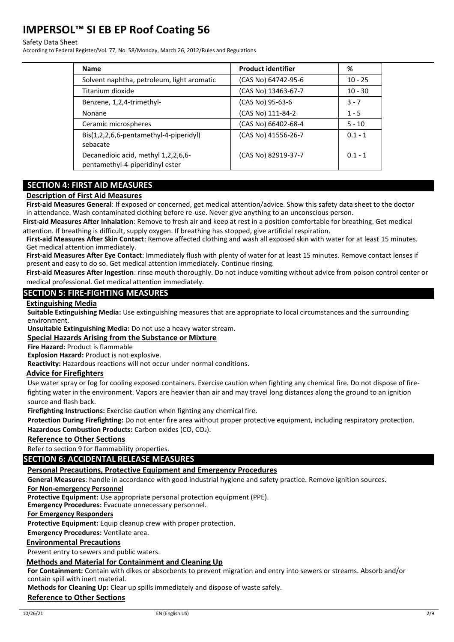#### Safety Data Sheet

According to Federal Register/Vol. 77, No. 58/Monday, March 26, 2012/Rules and Regulations

| <b>Name</b>                                                            | <b>Product identifier</b> | %         |
|------------------------------------------------------------------------|---------------------------|-----------|
| Solvent naphtha, petroleum, light aromatic                             | (CAS No) 64742-95-6       | $10 - 25$ |
| Titanium dioxide                                                       | (CAS No) 13463-67-7       | $10 - 30$ |
| Benzene, 1,2,4-trimethyl-                                              | (CAS No) 95-63-6          | $3 - 7$   |
| Nonane                                                                 | (CAS No) 111-84-2         | $1 - 5$   |
| Ceramic microspheres                                                   | (CAS No) 66402-68-4       | $5 - 10$  |
| Bis(1,2,2,6,6-pentamethyl-4-piperidyl)<br>sebacate                     | (CAS No) 41556-26-7       | $0.1 - 1$ |
| Decanedioic acid, methyl 1,2,2,6,6-<br>pentamethyl-4-piperidinyl ester | (CAS No) 82919-37-7       | $0.1 - 1$ |

## **SECTION 4: FIRST AID MEASURES**

### **Description of First Aid Measures**

**First-aid Measures General**: If exposed or concerned, get medical attention/advice. Show this safety data sheet to the doctor in attendance. Wash contaminated clothing before re-use. Never give anything to an unconscious person.

**First-aid Measures After Inhalation**: Remove to fresh air and keep at rest in a position comfortable for breathing. Get medical attention. If breathing is difficult, supply oxygen. If breathing has stopped, give artificial respiration.

**First-aid Measures After Skin Contact**: Remove affected clothing and wash all exposed skin with water for at least 15 minutes. Get medical attention immediately.

**First-aid Measures After Eye Contact**: Immediately flush with plenty of water for at least 15 minutes. Remove contact lenses if present and easy to do so. Get medical attention immediately. Continue rinsing.

**First-aid Measures After Ingestion**: rinse mouth thoroughly. Do not induce vomiting without advice from poison control center or medical professional. Get medical attention immediately.

## **SECTION 5: FIRE-FIGHTING MEASURES**

#### **Extinguishing Media**

**Suitable Extinguishing Media:** Use extinguishing measures that are appropriate to local circumstances and the surrounding environment.

**Unsuitable Extinguishing Media:** Do not use a heavy water stream.

## **Special Hazards Arising from the Substance or Mixture**

**Fire Hazard:** Product is flammable

**Explosion Hazard:** Product is not explosive.

**Reactivity:** Hazardous reactions will not occur under normal conditions.

### **Advice for Firefighters**

Use water spray or fog for cooling exposed containers. Exercise caution when fighting any chemical fire. Do not dispose of firefighting water in the environment. Vapors are heavier than air and may travel long distances along the ground to an ignition source and flash back.

**Firefighting Instructions:** Exercise caution when fighting any chemical fire.

**Protection During Firefighting:** Do not enter fire area without proper protective equipment, including respiratory protection. Hazardous Combustion Products: Carbon oxides (CO, CO<sub>2</sub>).

### **Reference to Other Sections**

Refer to section 9 for flammability properties.

## **SECTION 6: ACCIDENTAL RELEASE MEASURES**

### **Personal Precautions, Protective Equipment and Emergency Procedures**

**General Measures**: handle in accordance with good industrial hygiene and safety practice. Remove ignition sources.

**For Non-emergency Personnel**

**Protective Equipment:** Use appropriate personal protection equipment (PPE).

**Emergency Procedures:** Evacuate unnecessary personnel.

**For Emergency Responders**

**Protective Equipment:** Equip cleanup crew with proper protection.

**Emergency Procedures:** Ventilate area.

## **Environmental Precautions**

Prevent entry to sewers and public waters.

## **Methods and Material for Containment and Cleaning Up**

**For Containment:** Contain with dikes or absorbents to prevent migration and entry into sewers or streams. Absorb and/or contain spill with inert material.

**Methods for Cleaning Up:** Clear up spills immediately and dispose of waste safely.

# **Reference to Other Sections**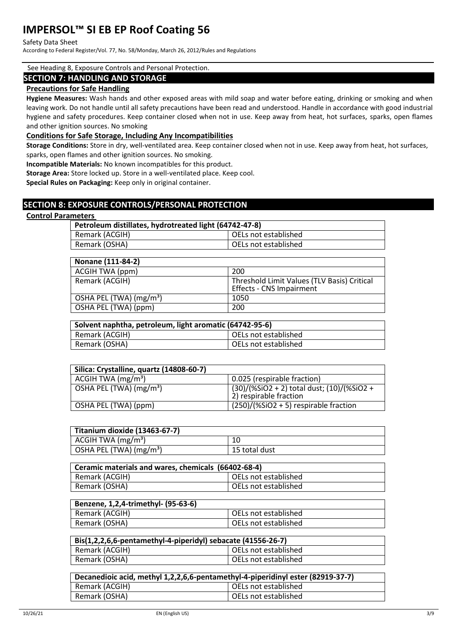#### Safety Data Sheet

According to Federal Register/Vol. 77, No. 58/Monday, March 26, 2012/Rules and Regulations

#### See Heading 8, Exposure Controls and Personal Protection.

### **SECTION 7: HANDLING AND STORAGE**

### **Precautions for Safe Handling**

**Hygiene Measures:** Wash hands and other exposed areas with mild soap and water before eating, drinking or smoking and when leaving work. Do not handle until all safety precautions have been read and understood. Handle in accordance with good industrial hygiene and safety procedures. Keep container closed when not in use. Keep away from heat, hot surfaces, sparks, open flames and other ignition sources. No smoking

### **Conditions for Safe Storage, Including Any Incompatibilities**

**Storage Conditions:** Store in dry, well-ventilated area. Keep container closed when not in use. Keep away from heat, hot surfaces, sparks, open flames and other ignition sources. No smoking.

**Incompatible Materials:** No known incompatibles for this product.

**Storage Area:** Store locked up. Store in a well-ventilated place. Keep cool.

**Special Rules on Packaging:** Keep only in original container.

## **SECTION 8: EXPOSURE CONTROLS/PERSONAL PROTECTION**

### **Control Parameters**

| Petroleum distillates, hydrotreated light (64742-47-8) |                      |  |
|--------------------------------------------------------|----------------------|--|
| Remark (ACGIH)                                         | OELs not established |  |
| Remark (OSHA)                                          | OELs not established |  |

| Nonane (111-84-2)                   |                                                                                |
|-------------------------------------|--------------------------------------------------------------------------------|
| ACGIH TWA (ppm)                     | 200                                                                            |
| Remark (ACGIH)                      | Threshold Limit Values (TLV Basis) Critical<br><b>Effects - CNS Impairment</b> |
| OSHA PEL (TWA) (mg/m <sup>3</sup> ) | 1050                                                                           |
| OSHA PEL (TWA) (ppm)                | 200                                                                            |

| Solvent naphtha, petroleum, light aromatic (64742-95-6) |                      |
|---------------------------------------------------------|----------------------|
| Remark (ACGIH)                                          | OELs not established |
| Remark (OSHA)                                           | OELs not established |

| Silica: Crystalline, quartz (14808-60-7) |                                                                      |
|------------------------------------------|----------------------------------------------------------------------|
| ACGIH TWA $(mg/m3)$                      | 0.025 (respirable fraction)                                          |
| OSHA PEL (TWA) (mg/m <sup>3</sup> )      | (30)/(%SiO2 + 2) total dust; (10)/(%SiO2 +<br>2) respirable fraction |
| OSHA PEL (TWA) (ppm)                     | $(250)/(%SiO2 + 5)$ respirable fraction                              |

| Titanium dioxide (13463-67-7)       |               |
|-------------------------------------|---------------|
| ACGIH TWA $(mg/m3)$                 |               |
| OSHA PEL (TWA) (mg/m <sup>3</sup> ) | 15 total dust |

| Ceramic materials and wares, chemicals (66402-68-4) |                      |
|-----------------------------------------------------|----------------------|
| Remark (ACGIH)                                      | OELs not established |
| Remark (OSHA)                                       | OELs not established |

| Benzene, 1,2,4-trimethyl- (95-63-6) |                      |
|-------------------------------------|----------------------|
| Remark (ACGIH)                      | OELs not established |
| Remark (OSHA)                       | OELs not established |

| Bis(1,2,2,6,6-pentamethyl-4-piperidyl) sebacate (41556-26-7) |                      |  |
|--------------------------------------------------------------|----------------------|--|
| Remark (ACGIH)                                               | OELs not established |  |
| Remark (OSHA)                                                | OELs not established |  |

| Decanedioic acid, methyl 1,2,2,6,6-pentamethyl-4-piperidinyl ester (82919-37-7) |                      |  |
|---------------------------------------------------------------------------------|----------------------|--|
| Remark (ACGIH)                                                                  | OELs not established |  |
| Remark (OSHA)                                                                   | OELs not established |  |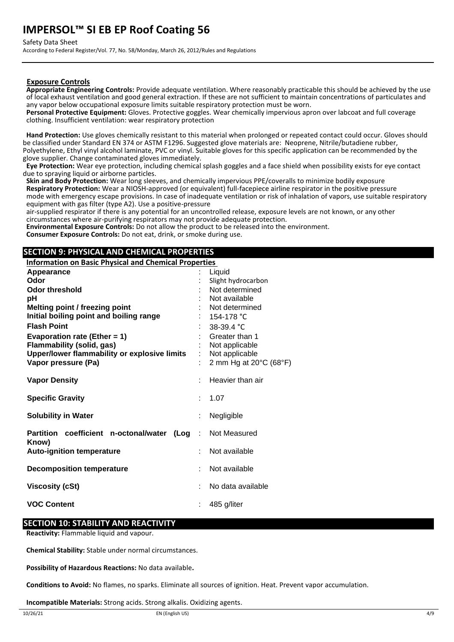Safety Data Sheet

According to Federal Register/Vol. 77, No. 58/Monday, March 26, 2012/Rules and Regulations

### **Exposure Controls**

**Appropriate Engineering Controls:** Provide adequate ventilation. Where reasonably practicable this should be achieved by the use of local exhaust ventilation and good general extraction. If these are not sufficient to maintain concentrations of particulates and any vapor below occupational exposure limits suitable respiratory protection must be worn.

**Personal Protective Equipment:** Gloves. Protective goggles. Wear chemically impervious apron over labcoat and full coverage clothing. Insufficient ventilation: wear respiratory protection

**Hand Protection:** Use gloves chemically resistant to this material when prolonged or repeated contact could occur. Gloves should be classified under Standard EN 374 or ASTM F1296. Suggested glove materials are: Neoprene, Nitrile/butadiene rubber, Polyethylene, Ethyl vinyl alcohol laminate, PVC or vinyl. Suitable gloves for this specific application can be recommended by the glove supplier. Change contaminated gloves immediately.

**Eye Protection:** Wear eye protection, including chemical splash goggles and a face shield when possibility exists for eye contact due to spraying liquid or airborne particles.

**Skin and Body Protection:** Wear long sleeves, and chemically impervious PPE/coveralls to minimize bodily exposure **Respiratory Protection:** Wear a NIOSH-approved (or equivalent) full-facepiece airline respirator in the positive pressure mode with emergency escape provisions. In case of inadequate ventilation or risk of inhalation of vapors, use suitable respiratory equipment with gas filter (type A2). Use a positive-pressure

air-supplied respirator if there is any potential for an uncontrolled release, exposure levels are not known, or any other circumstances where air-purifying respirators may not provide adequate protection.

**Environmental Exposure Controls:** Do not allow the product to be released into the environment. **Consumer Exposure Controls:** Do not eat, drink, or smoke during use.

## **SECTION 9: PHYSICAL AND CHEMICAL PROPERTIES**

**Information on Basic Physical and Chemical Properties** 

| Appearance                                         | Liquid                 |
|----------------------------------------------------|------------------------|
| Odor                                               | Slight hydrocarbon     |
| <b>Odor threshold</b>                              | Not determined         |
| рH                                                 | Not available          |
| <b>Melting point / freezing point</b>              | Not determined         |
| Initial boiling point and boiling range            | 154-178 °C             |
| <b>Flash Point</b>                                 | 38-39.4 °C             |
| Evaporation rate (Ether = $1$ )                    | Greater than 1         |
| <b>Flammability (solid, gas)</b>                   | Not applicable         |
| Upper/lower flammability or explosive limits       | Not applicable         |
| Vapor pressure (Pa)                                | 2 mm Hg at 20°C (68°F) |
|                                                    |                        |
| <b>Vapor Density</b>                               | Heavier than air       |
| <b>Specific Gravity</b>                            | 1.07                   |
|                                                    |                        |
| <b>Solubility in Water</b>                         | Negligible             |
| Partition coefficient n-octonal/water<br>$($ Log : | Not Measured           |
| Know)<br><b>Auto-ignition temperature</b>          | Not available          |
|                                                    |                        |
| <b>Decomposition temperature</b>                   | Not available          |
| <b>Viscosity (cSt)</b>                             | No data available      |
|                                                    |                        |
| <b>VOC Content</b>                                 | 485 g/liter            |

## **SECTION 10: STABILITY AND REACTIVITY**

**Reactivity:** Flammable liquid and vapour.

**Chemical Stability:** Stable under normal circumstances.

**Possibility of Hazardous Reactions:** No data available**.**

**Conditions to Avoid:** No flames, no sparks. Eliminate all sources of ignition. Heat. Prevent vapor accumulation.

**Incompatible Materials:** Strong acids. Strong alkalis. Oxidizing agents.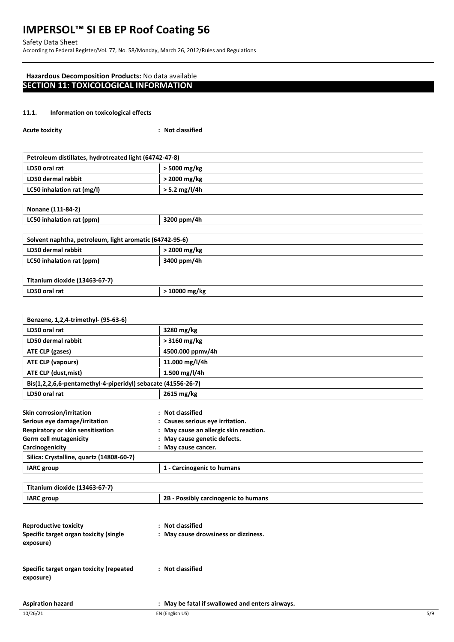Safety Data Sheet

According to Federal Register/Vol. 77, No. 58/Monday, March 26, 2012/Rules and Regulations

## **Hazardous Decomposition Products:** No data available **SECTION 11: TOXICOLOGICAL INFORMATION**

### **11.1. Information on toxicological effects**

| <b>Acute toxicity</b> | : Not classified |
|-----------------------|------------------|
|-----------------------|------------------|

| Petroleum distillates, hydrotreated light (64742-47-8) |               |  |  |
|--------------------------------------------------------|---------------|--|--|
| LD50 oral rat                                          | > 5000 mg/kg  |  |  |
| LD50 dermal rabbit                                     | > 2000 mg/kg  |  |  |
| LC50 inhalation rat (mg/l)                             | > 5.2 mg/l/4h |  |  |
|                                                        |               |  |  |

|  | Nonane (111-84-2) |
|--|-------------------|
|--|-------------------|

| ן ב-2014 בווסווטוו        |             |  |  |
|---------------------------|-------------|--|--|
| LC50 inhalation rat (ppm) | 3200 ppm/4h |  |  |
|                           |             |  |  |

## **Solvent naphtha, petroleum, light aromatic (64742-95-6)**

| LD50 dermal rabbit        | 2000 mg/kg  |
|---------------------------|-------------|
| LC50 inhalation rat (ppm) | 3400 ppm/4h |
|                           |             |

| Titanium dioxide (13463-67-7) |             |  |
|-------------------------------|-------------|--|
| LD50 oral rat                 | 10000 mg/kg |  |

| Benzene, 1,2,4-trimethyl- (95-63-6)                          |                                        |  |  |
|--------------------------------------------------------------|----------------------------------------|--|--|
| LD50 oral rat                                                | 3280 mg/kg                             |  |  |
| LD50 dermal rabbit                                           | $>$ 3160 mg/kg                         |  |  |
| ATE CLP (gases)                                              | 4500.000 ppmv/4h                       |  |  |
| ATE CLP (vapours)                                            | 11.000 mg/l/4h                         |  |  |
| 1.500 mg/l/4h<br>ATE CLP (dust, mist)                        |                                        |  |  |
| Bis(1,2,2,6,6-pentamethyl-4-piperidyl) sebacate (41556-26-7) |                                        |  |  |
| LD50 oral rat                                                | 2615 mg/kg                             |  |  |
| Skin corrosion/irritation                                    | : Not classified                       |  |  |
| Serious eye damage/irritation                                | : Causes serious eye irritation.       |  |  |
| Respiratory or skin sensitisation                            | : May cause an allergic skin reaction. |  |  |
| <b>Germ cell mutagenicity</b>                                | : May cause genetic defects.           |  |  |
| Carcinogenicity                                              | : May cause cancer.                    |  |  |
| Silica: Crystalline, quartz (14808-60-7)                     |                                        |  |  |
| <b>IARC</b> group                                            | 1 - Carcinogenic to humans             |  |  |

| Titanium dioxide (13463-67-7)                         |                                                 |
|-------------------------------------------------------|-------------------------------------------------|
| <b>IARC</b> group                                     | 2B - Possibly carcinogenic to humans            |
|                                                       |                                                 |
| <b>Reproductive toxicity</b>                          | <b>Not classified</b><br>$\ddot{\phantom{a}}$   |
| Specific target organ toxicity (single<br>exposure)   | : May cause drowsiness or dizziness.            |
| Specific target organ toxicity (repeated<br>exposure) | : Not classified                                |
| <b>Aspiration hazard</b>                              | : May be fatal if swallowed and enters airways. |

 $\mathbf{I}$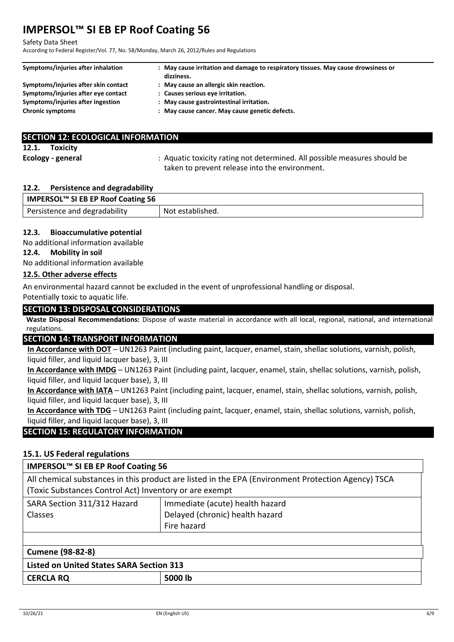#### Safety Data Sheet

According to Federal Register/Vol. 77, No. 58/Monday, March 26, 2012/Rules and Regulations

| Symptoms/injuries after inhalation   | : May cause irritation and damage to respiratory tissues. May cause drowsiness or<br>dizziness. |
|--------------------------------------|-------------------------------------------------------------------------------------------------|
| Symptoms/injuries after skin contact | : May cause an allergic skin reaction.                                                          |
| Symptoms/injuries after eye contact  | : Causes serious eye irritation.                                                                |
| Symptoms/injuries after ingestion    | : May cause gastrointestinal irritation.                                                        |
| <b>Chronic symptoms</b>              | : May cause cancer. May cause genetic defects.                                                  |

|       |                   | <b>SECTION 12: ECOLOGICAL INFORMATION</b>                                                                                   |
|-------|-------------------|-----------------------------------------------------------------------------------------------------------------------------|
| 12.1. | Toxicity          |                                                                                                                             |
|       | Ecology - general | : Aquatic toxicity rating not determined. All possible measures should be<br>taken to prevent release into the environment. |

## **12.2. Persistence and degradability**

| IMPERSOL™ SI EB EP Roof Coating 56 |                  |  |
|------------------------------------|------------------|--|
| Persistence and degradability      | Not established. |  |

## **12.3. Bioaccumulative potential**

No additional information available

### **12.4. Mobility in soil**

No additional information available

## **12.5. Other adverse effects**

An environmental hazard cannot be excluded in the event of unprofessional handling or disposal. Potentially toxic to aquatic life.

## **SECTION 13: DISPOSAL CONSIDERATIONS**

**Waste Disposal Recommendations:** Dispose of waste material in accordance with all local, regional, national, and international regulations.

## **SECTION 14: TRANSPORT INFORMATION**

**In Accordance with DOT** – UN1263 Paint (including paint, lacquer, enamel, stain, shellac solutions, varnish, polish, liquid filler, and liquid lacquer base), 3, III

**In Accordance with IMDG** – UN1263 Paint (including paint, lacquer, enamel, stain, shellac solutions, varnish, polish, liquid filler, and liquid lacquer base), 3, III

**In Accordance with IATA** – UN1263 Paint (including paint, lacquer, enamel, stain, shellac solutions, varnish, polish, liquid filler, and liquid lacquer base), 3, III

**In Accordance with TDG** – UN1263 Paint (including paint, lacquer, enamel, stain, shellac solutions, varnish, polish, liquid filler, and liquid lacquer base), 3, III

## **SECTION 15: REGULATORY INFORMATION**

## **15.1. US Federal regulations**

## **IMPERSOL™ SI EB EP Roof Coating 56**

All chemical substances in this product are listed in the EPA (Environment Protection Agency) TSCA (Toxic Substances Control Act) Inventory or are exempt

| SARA Section 311/312 Hazard | Immediate (acute) health hazard |
|-----------------------------|---------------------------------|
| <b>Classes</b>              | Delayed (chronic) health hazard |
|                             | Fire hazard                     |
|                             |                                 |

| Cumene (98-82-8)                         |  |  |  |
|------------------------------------------|--|--|--|
| Listed on United States SARA Section 313 |  |  |  |
| 5000 lb<br><b>CERCLA RQ</b>              |  |  |  |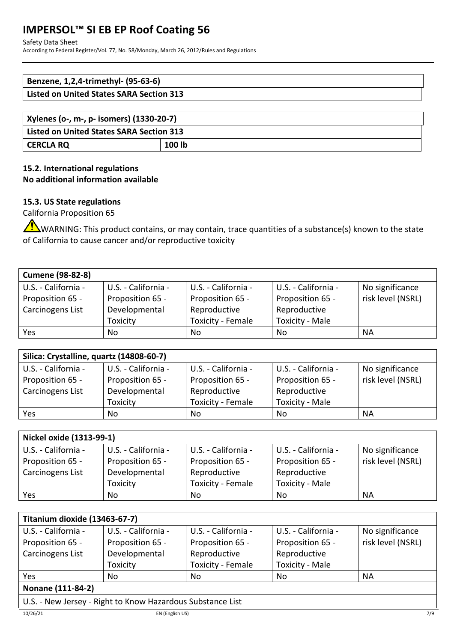### Safety Data Sheet

According to Federal Register/Vol. 77, No. 58/Monday, March 26, 2012/Rules and Regulations

| Benzene, 1,2,4-trimethyl- (95-63-6)      |  |
|------------------------------------------|--|
| Listed on United States SARA Section 313 |  |
|                                          |  |
| .<br>$\cdot$ $\cdot$                     |  |

| Xylenes (o-, m-, p- isomers) (1330-20-7)        |        |  |
|-------------------------------------------------|--------|--|
| <b>Listed on United States SARA Section 313</b> |        |  |
| <b>CERCLA RQ</b>                                | 100 lb |  |

# **15.2. International regulations No additional information available**

# **15.3. US State regulations**

California Proposition 65

WARNING: This product contains, or may contain, trace quantities of a substance(s) known to the state of California to cause cancer and/or reproductive toxicity

| <b>Cumene (98-82-8)</b> |                     |                     |                        |                   |
|-------------------------|---------------------|---------------------|------------------------|-------------------|
| U.S. - California -     | U.S. - California - | U.S. - California - | U.S. - California -    | No significance   |
| Proposition 65 -        | Proposition 65 -    | Proposition 65 -    | Proposition 65 -       | risk level (NSRL) |
| Carcinogens List        | Developmental       | Reproductive        | Reproductive           |                   |
|                         | Toxicity            | Toxicity - Female   | <b>Toxicity - Male</b> |                   |
| Yes                     | No                  | No                  | No                     | NА                |

| Silica: Crystalline, quartz (14808-60-7) |                     |                     |                        |                   |
|------------------------------------------|---------------------|---------------------|------------------------|-------------------|
| U.S. - California -                      | U.S. - California - | U.S. - California - | U.S. - California -    | No significance   |
| Proposition 65 -                         | Proposition 65 -    | Proposition 65 -    | Proposition 65 -       | risk level (NSRL) |
| Carcinogens List                         | Developmental       | Reproductive        | Reproductive           |                   |
|                                          | Toxicity            | Toxicity - Female   | <b>Toxicity - Male</b> |                   |
| Yes                                      | No                  | No                  | No                     | <b>NA</b>         |

| Nickel oxide (1313-99-1) |                     |                     |                        |                   |
|--------------------------|---------------------|---------------------|------------------------|-------------------|
| U.S. - California -      | U.S. - California - | U.S. - California - | U.S. - California -    | No significance   |
| Proposition 65 -         | Proposition 65 -    | Proposition 65 -    | Proposition 65 -       | risk level (NSRL) |
| Carcinogens List         | Developmental       | Reproductive        | Reproductive           |                   |
|                          | Toxicity            | Toxicity - Female   | <b>Toxicity - Male</b> |                   |
| Yes                      | No.                 | No                  | No                     | <b>NA</b>         |

| Titanium dioxide (13463-67-7) |                     |                     |                        |                   |
|-------------------------------|---------------------|---------------------|------------------------|-------------------|
| U.S. - California -           | U.S. - California - | U.S. - California - | U.S. - California -    | No significance   |
| Proposition 65 -              | Proposition 65 -    | Proposition 65 -    | Proposition 65 -       | risk level (NSRL) |
| Carcinogens List              | Developmental       | Reproductive        | Reproductive           |                   |
|                               | Toxicity            | Toxicity - Female   | <b>Toxicity - Male</b> |                   |
| Yes                           | No                  | No                  | No                     | NА                |
| Nonane (111-84-2)             |                     |                     |                        |                   |

# **Nonane (111-84-2)**

U.S. - New Jersey - Right to Know Hazardous Substance List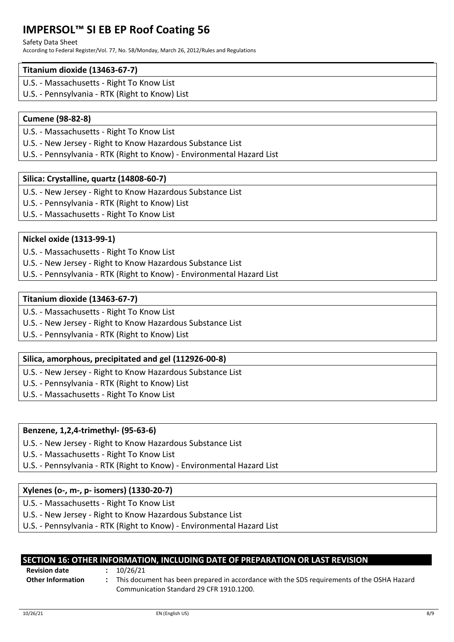#### Safety Data Sheet

According to Federal Register/Vol. 77, No. 58/Monday, March 26, 2012/Rules and Regulations

## **Titanium dioxide (13463-67-7)**

- U.S. Massachusetts Right To Know List
- U.S. Pennsylvania RTK (Right to Know) List

# **Cumene (98-82-8)**

- U.S. Massachusetts Right To Know List
- U.S. New Jersey Right to Know Hazardous Substance List
- U.S. Pennsylvania RTK (Right to Know) Environmental Hazard List

# **Silica: Crystalline, quartz (14808-60-7)**

- U.S. New Jersey Right to Know Hazardous Substance List
- U.S. Pennsylvania RTK (Right to Know) List
- U.S. Massachusetts Right To Know List

## **Nickel oxide (1313-99-1)**

- U.S. Massachusetts Right To Know List
- U.S. New Jersey Right to Know Hazardous Substance List
- U.S. Pennsylvania RTK (Right to Know) Environmental Hazard List

## **Titanium dioxide (13463-67-7)**

- U.S. Massachusetts Right To Know List
- U.S. New Jersey Right to Know Hazardous Substance List
- U.S. Pennsylvania RTK (Right to Know) List

# **Silica, amorphous, precipitated and gel (112926-00-8)**

- U.S. New Jersey Right to Know Hazardous Substance List
- U.S. Pennsylvania RTK (Right to Know) List
- U.S. Massachusetts Right To Know List

## **Benzene, 1,2,4-trimethyl- (95-63-6)**

- U.S. New Jersey Right to Know Hazardous Substance List
- U.S. Massachusetts Right To Know List
- U.S. Pennsylvania RTK (Right to Know) Environmental Hazard List

## **Xylenes (o-, m-, p- isomers) (1330-20-7)**

- U.S. Massachusetts Right To Know List
- U.S. New Jersey Right to Know Hazardous Substance List

U.S. - Pennsylvania - RTK (Right to Know) - Environmental Hazard List

| SECTION 16: OTHER INFORMATION, INCLUDING DATE OF PREPARATION OR LAST REVISION |  |
|-------------------------------------------------------------------------------|--|
|                                                                               |  |

**Revision date :** 10/26/21

**Other Information :** This document has been prepared in accordance with the SDS requirements of the OSHA Hazard Communication Standard 29 CFR 1910.1200.